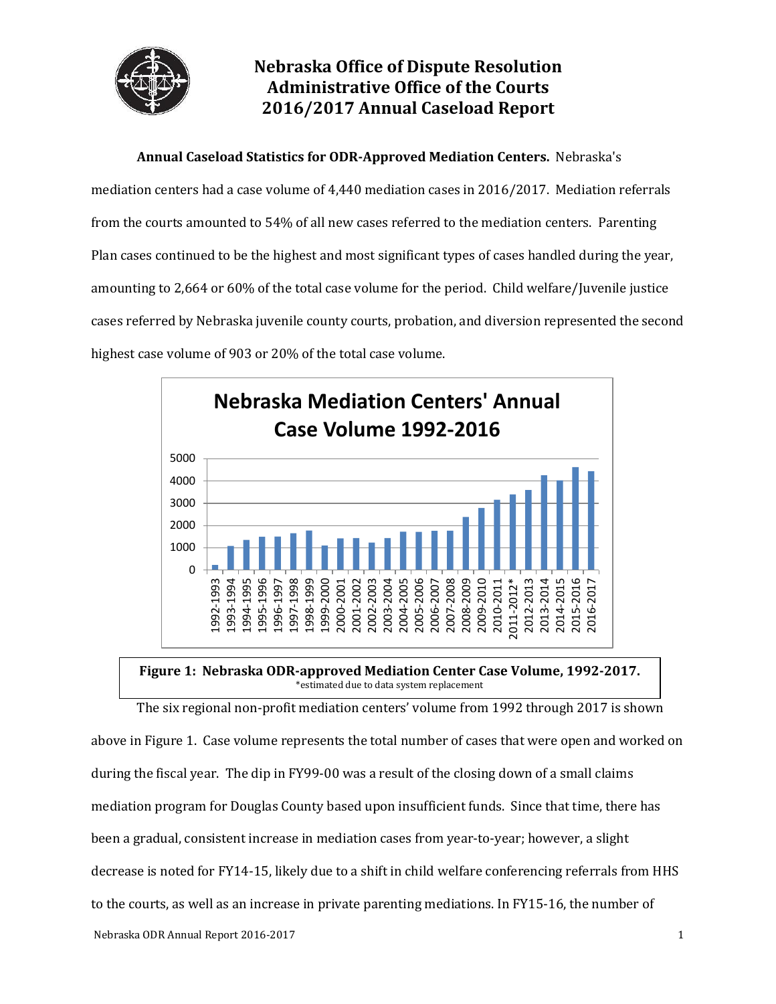

# **Nebraska Office of Dispute Resolution Administrative Office of the Courts 2016/2017 Annual Caseload Report**

**Annual Caseload Statistics for ODR-Approved Mediation Centers.** Nebraska's

mediation centers had a case volume of 4,440 mediation cases in 2016/2017. Mediation referrals from the courts amounted to 54% of all new cases referred to the mediation centers. Parenting Plan cases continued to be the highest and most significant types of cases handled during the year, amounting to 2,664 or 60% of the total case volume for the period. Child welfare/Juvenile justice cases referred by Nebraska juvenile county courts, probation, and diversion represented the second highest case volume of 903 or 20% of the total case volume.





Nebraska ODR Annual Report 2016-2017 1 The six regional non-profit mediation centers' volume from 1992 through 2017 is shown above in Figure 1. Case volume represents the total number of cases that were open and worked on during the fiscal year. The dip in FY99-00 was a result of the closing down of a small claims mediation program for Douglas County based upon insufficient funds. Since that time, there has been a gradual, consistent increase in mediation cases from year-to-year; however, a slight decrease is noted for FY14-15, likely due to a shift in child welfare conferencing referrals from HHS to the courts, as well as an increase in private parenting mediations. In FY15-16, the number of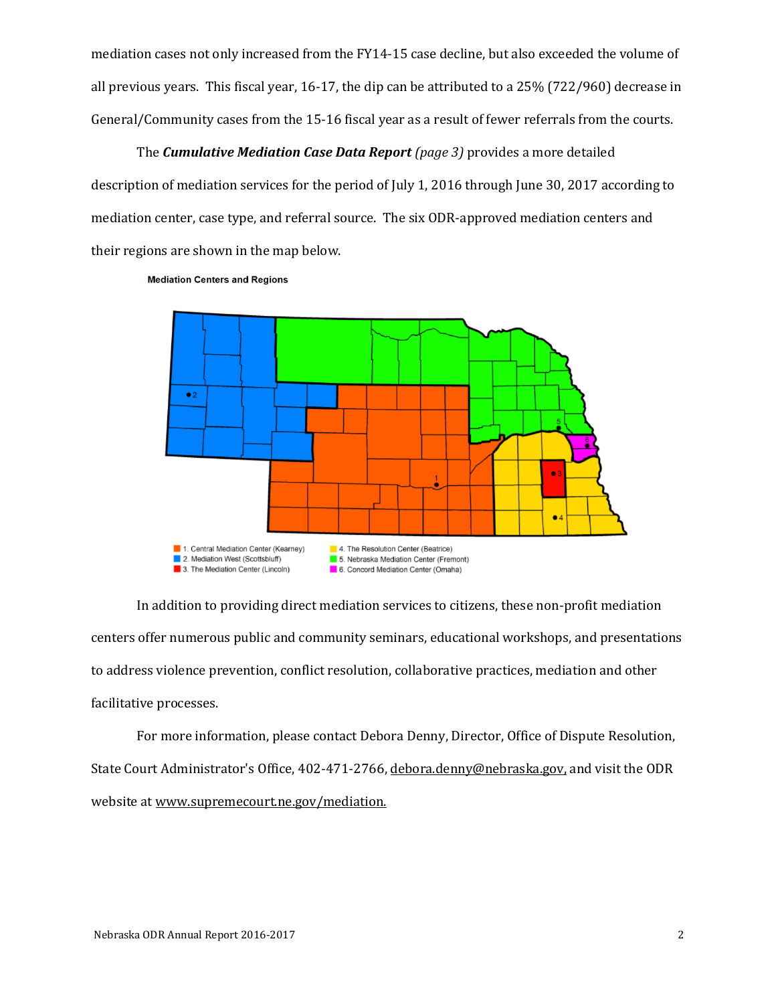mediation cases not only increased from the FY14-15 case decline, but also exceeded the volume of all previous years. This fiscal year, 16-17, the dip can be attributed to a 25% (722/960) decrease in General/Community cases from the 15-16 fiscal year as a result of fewer referrals from the courts.

The *Cumulative Mediation Case Data Report (page 3)* provides a more detailed description of mediation services for the period of July 1, 2016 through June 30, 2017 according to mediation center, case type, and referral source. The six ODR-approved mediation centers and their regions are shown in the map below.

**Mediation Centers and Regions** 



In addition to providing direct mediation services to citizens, these non-profit mediation centers offer numerous public and community seminars, educational workshops, and presentations to address violence prevention, conflict resolution, collaborative practices, mediation and other facilitative processes.

For more information, please contact Debora Denny, Director, Office of Dispute Resolution, State Court Administrator's Office, 402-471-2766, [debora.denny@ne](mailto:debora.denny@n)braska.gov, and visit the ODR website a[t www.supremecourt.ne.gov/mediation.](http://www.supremecourt.ne.gov/mediation)